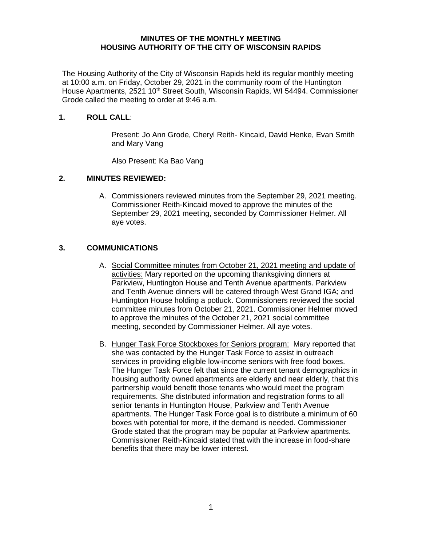#### **MINUTES OF THE MONTHLY MEETING HOUSING AUTHORITY OF THE CITY OF WISCONSIN RAPIDS**

The Housing Authority of the City of Wisconsin Rapids held its regular monthly meeting at 10:00 a.m. on Friday, October 29, 2021 in the community room of the Huntington House Apartments, 2521 10<sup>th</sup> Street South, Wisconsin Rapids, WI 54494. Commissioner Grode called the meeting to order at 9:46 a.m.

#### **1. ROLL CALL**:

Present: Jo Ann Grode, Cheryl Reith- Kincaid, David Henke, Evan Smith and Mary Vang

Also Present: Ka Bao Vang

### **2. MINUTES REVIEWED:**

A. Commissioners reviewed minutes from the September 29, 2021 meeting. Commissioner Reith-Kincaid moved to approve the minutes of the September 29, 2021 meeting, seconded by Commissioner Helmer. All aye votes.

### **3. COMMUNICATIONS**

- A. Social Committee minutes from October 21, 2021 meeting and update of activities: Mary reported on the upcoming thanksgiving dinners at Parkview, Huntington House and Tenth Avenue apartments. Parkview and Tenth Avenue dinners will be catered through West Grand IGA; and Huntington House holding a potluck. Commissioners reviewed the social committee minutes from October 21, 2021. Commissioner Helmer moved to approve the minutes of the October 21, 2021 social committee meeting, seconded by Commissioner Helmer. All aye votes.
- B. Hunger Task Force Stockboxes for Seniors program: Mary reported that she was contacted by the Hunger Task Force to assist in outreach services in providing eligible low-income seniors with free food boxes. The Hunger Task Force felt that since the current tenant demographics in housing authority owned apartments are elderly and near elderly, that this partnership would benefit those tenants who would meet the program requirements. She distributed information and registration forms to all senior tenants in Huntington House, Parkview and Tenth Avenue apartments. The Hunger Task Force goal is to distribute a minimum of 60 boxes with potential for more, if the demand is needed. Commissioner Grode stated that the program may be popular at Parkview apartments. Commissioner Reith-Kincaid stated that with the increase in food-share benefits that there may be lower interest.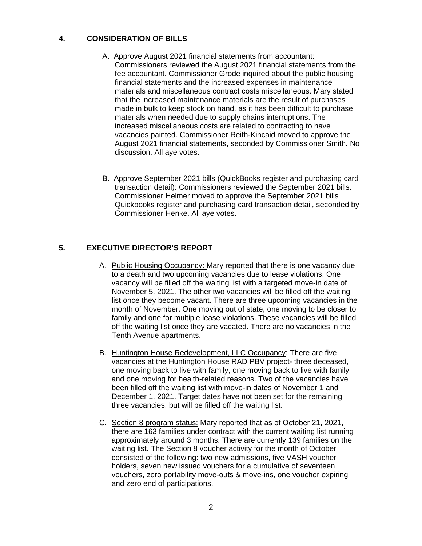## **4. CONSIDERATION OF BILLS**

- A. Approve August 2021 financial statements from accountant: Commissioners reviewed the August 2021 financial statements from the fee accountant. Commissioner Grode inquired about the public housing financial statements and the increased expenses in maintenance materials and miscellaneous contract costs miscellaneous. Mary stated that the increased maintenance materials are the result of purchases made in bulk to keep stock on hand, as it has been difficult to purchase materials when needed due to supply chains interruptions. The increased miscellaneous costs are related to contracting to have vacancies painted. Commissioner Reith-Kincaid moved to approve the August 2021 financial statements, seconded by Commissioner Smith. No discussion. All aye votes.
- B. Approve September 2021 bills (QuickBooks register and purchasing card transaction detail): Commissioners reviewed the September 2021 bills. Commissioner Helmer moved to approve the September 2021 bills Quickbooks register and purchasing card transaction detail, seconded by Commissioner Henke. All aye votes.

# **5. EXECUTIVE DIRECTOR'S REPORT**

- A. Public Housing Occupancy: Mary reported that there is one vacancy due to a death and two upcoming vacancies due to lease violations. One vacancy will be filled off the waiting list with a targeted move-in date of November 5, 2021. The other two vacancies will be filled off the waiting list once they become vacant. There are three upcoming vacancies in the month of November. One moving out of state, one moving to be closer to family and one for multiple lease violations. These vacancies will be filled off the waiting list once they are vacated. There are no vacancies in the Tenth Avenue apartments.
- B. Huntington House Redevelopment, LLC Occupancy: There are five vacancies at the Huntington House RAD PBV project- three deceased, one moving back to live with family, one moving back to live with family and one moving for health-related reasons. Two of the vacancies have been filled off the waiting list with move-in dates of November 1 and December 1, 2021. Target dates have not been set for the remaining three vacancies, but will be filled off the waiting list.
- C. Section 8 program status: Mary reported that as of October 21, 2021, there are 163 families under contract with the current waiting list running approximately around 3 months. There are currently 139 families on the waiting list. The Section 8 voucher activity for the month of October consisted of the following: two new admissions, five VASH voucher holders, seven new issued vouchers for a cumulative of seventeen vouchers, zero portability move-outs & move-ins, one voucher expiring and zero end of participations.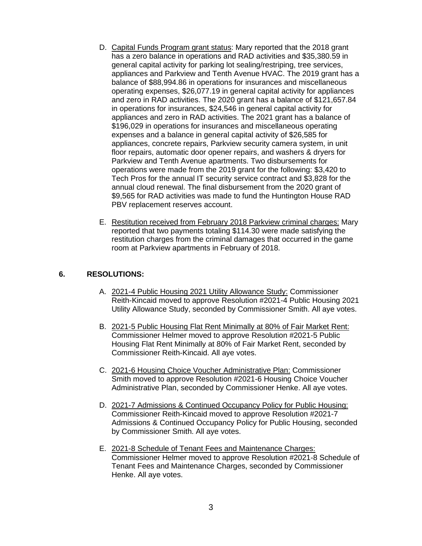- D. Capital Funds Program grant status: Mary reported that the 2018 grant has a zero balance in operations and RAD activities and \$35,380.59 in general capital activity for parking lot sealing/restriping, tree services, appliances and Parkview and Tenth Avenue HVAC. The 2019 grant has a balance of \$88,994.86 in operations for insurances and miscellaneous operating expenses, \$26,077.19 in general capital activity for appliances and zero in RAD activities. The 2020 grant has a balance of \$121,657.84 in operations for insurances, \$24,546 in general capital activity for appliances and zero in RAD activities. The 2021 grant has a balance of \$196,029 in operations for insurances and miscellaneous operating expenses and a balance in general capital activity of \$26,585 for appliances, concrete repairs, Parkview security camera system, in unit floor repairs, automatic door opener repairs, and washers & dryers for Parkview and Tenth Avenue apartments. Two disbursements for operations were made from the 2019 grant for the following: \$3,420 to Tech Pros for the annual IT security service contract and \$3,828 for the annual cloud renewal. The final disbursement from the 2020 grant of \$9,565 for RAD activities was made to fund the Huntington House RAD PBV replacement reserves account.
- E. Restitution received from February 2018 Parkview criminal charges: Mary reported that two payments totaling \$114.30 were made satisfying the restitution charges from the criminal damages that occurred in the game room at Parkview apartments in February of 2018.

### **6. RESOLUTIONS:**

- A. 2021-4 Public Housing 2021 Utility Allowance Study: Commissioner Reith-Kincaid moved to approve Resolution #2021-4 Public Housing 2021 Utility Allowance Study, seconded by Commissioner Smith. All aye votes.
- B. 2021-5 Public Housing Flat Rent Minimally at 80% of Fair Market Rent: Commissioner Helmer moved to approve Resolution #2021-5 Public Housing Flat Rent Minimally at 80% of Fair Market Rent, seconded by Commissioner Reith-Kincaid. All aye votes.
- C. 2021-6 Housing Choice Voucher Administrative Plan: Commissioner Smith moved to approve Resolution #2021-6 Housing Choice Voucher Administrative Plan, seconded by Commissioner Henke. All aye votes.
- D. 2021-7 Admissions & Continued Occupancy Policy for Public Housing: Commissioner Reith-Kincaid moved to approve Resolution #2021-7 Admissions & Continued Occupancy Policy for Public Housing, seconded by Commissioner Smith. All aye votes.
- E. 2021-8 Schedule of Tenant Fees and Maintenance Charges: Commissioner Helmer moved to approve Resolution #2021-8 Schedule of Tenant Fees and Maintenance Charges, seconded by Commissioner Henke. All aye votes.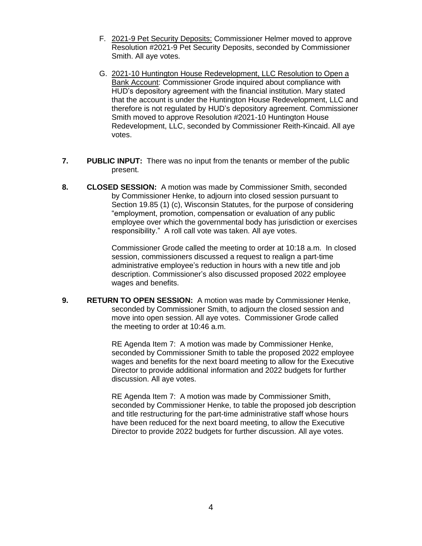- F. 2021-9 Pet Security Deposits: Commissioner Helmer moved to approve Resolution #2021-9 Pet Security Deposits, seconded by Commissioner Smith. All aye votes.
- G. 2021-10 Huntington House Redevelopment, LLC Resolution to Open a Bank Account: Commissioner Grode inquired about compliance with HUD's depository agreement with the financial institution. Mary stated that the account is under the Huntington House Redevelopment, LLC and therefore is not regulated by HUD's depository agreement. Commissioner Smith moved to approve Resolution #2021-10 Huntington House Redevelopment, LLC, seconded by Commissioner Reith-Kincaid. All aye votes.
- **7. PUBLIC INPUT:** There was no input from the tenants or member of the public present.
- **8. CLOSED SESSION:** A motion was made by Commissioner Smith, seconded by Commissioner Henke, to adjourn into closed session pursuant to Section 19.85 (1) (c), Wisconsin Statutes, for the purpose of considering "employment, promotion, compensation or evaluation of any public employee over which the governmental body has jurisdiction or exercises responsibility." A roll call vote was taken. All aye votes.

Commissioner Grode called the meeting to order at 10:18 a.m. In closed session, commissioners discussed a request to realign a part-time administrative employee's reduction in hours with a new title and job description. Commissioner's also discussed proposed 2022 employee wages and benefits.

**9. RETURN TO OPEN SESSION:** A motion was made by Commissioner Henke, seconded by Commissioner Smith, to adjourn the closed session and move into open session. All aye votes. Commissioner Grode called the meeting to order at 10:46 a.m.

> RE Agenda Item 7: A motion was made by Commissioner Henke, seconded by Commissioner Smith to table the proposed 2022 employee wages and benefits for the next board meeting to allow for the Executive Director to provide additional information and 2022 budgets for further discussion. All aye votes.

> RE Agenda Item 7: A motion was made by Commissioner Smith, seconded by Commissioner Henke, to table the proposed job description and title restructuring for the part-time administrative staff whose hours have been reduced for the next board meeting, to allow the Executive Director to provide 2022 budgets for further discussion. All aye votes.